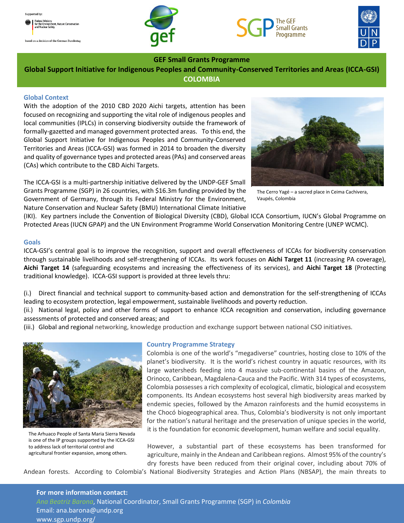ed on a decision of the German Bundestag







# **GEF Small Grants Programme**

**Global Support Initiative for Indigenous Peoples and Community-Conserved Territories and Areas (ICCA-GSI) COLOMBIA**

## **Global Context**

With the adoption of the 2010 CBD 2020 Aichi targets, attention has been focused on recognizing and supporting the vital role of indigenous peoples and local communities (IPLCs) in conserving biodiversity outside the framework of formally-gazetted and managed government protected areas. To this end, the Global Support Initiative for Indigenous Peoples and Community-Conserved Territories and Areas (ICCA-GSI) was formed in 2014 to broaden the diversity and quality of governance types and protected areas (PAs) and conserved areas (CAs) which contribute to the CBD Aichi Targets.

The ICCA-GSI is a multi-partnership initiative delivered by the UNDP-GEF Small Grants Programme (SGP) in 26 countries, with \$16.3m funding provided by the Government of Germany, through its Federal Ministry for the Environment, Nature Conservation and Nuclear Safety (BMU) International Climate Initiative



The Cerro Yagé – a sacred place in Ceima Cachivera, Vaupés, Colombia

(IKI). Key partners include the Convention of Biological Diversity (CBD), Global ICCA Consortium, IUCN's Global Programme on Protected Areas (IUCN GPAP) and the UN Environment Programme World Conservation Monitoring Centre (UNEP WCMC).

#### **Goals**

ICCA-GSI's central goal is to improve the recognition, support and overall effectiveness of ICCAs for biodiversity conservation through sustainable livelihoods and self-strengthening of ICCAs. Its work focuses on **Aichi Target 11** (increasing PA coverage), **Aichi Target 14** (safeguarding ecosystems and increasing the effectiveness of its services), and **Aichi Target 18** (Protecting traditional knowledge). ICCA-GSI support is provided at three levels thru:

(i.) Direct financial and technical support to community-based action and demonstration for the self-strengthening of ICCAs leading to ecosystem protection, legal empowerment, sustainable livelihoods and poverty reduction.

(ii.) National legal, policy and other forms of support to enhance ICCA recognition and conservation, including governance assessments of protected and conserved areas; and

(iii.) Global and regional networking, knowledge production and exchange support between national CSO initiatives.



The Arhuaco People of Santa Maria Sierra Nevada is one of the IP groups supported by the ICCA-GSI to address lack of territorial control and agricultural frontier expansion, among others.

## **Country Programme Strategy**

Colombia is one of the world's "megadiverse" countries, hosting close to 10% of the planet's biodiversity. It is the world's richest country in aquatic resources, with its large watersheds feeding into 4 massive sub-continental basins of the Amazon, Orinoco, Caribbean, Magdalena-Cauca and the Pacific. With 314 types of ecosystems, Colombia possesses a rich complexity of ecological, climatic, biological and ecosystem components. Its Andean ecosystems host several high biodiversity areas marked by endemic species, followed by the Amazon rainforests and the humid ecosystems in the Chocó biogeographical area. Thus, Colombia's biodiversity is not only important for the nation's natural heritage and the preservation of unique species in the world, it is the foundation for economic development, human welfare and social equality.

However, a substantial part of these ecosystems has been transformed for agriculture, mainly in the Andean and Caribbean regions. Almost 95% of the country's dry forests have been reduced from their original cover, including about 70% of

Andean forests. According to Colombia's National Biodiversity Strategies and Action Plans (NBSAP), the main threats to